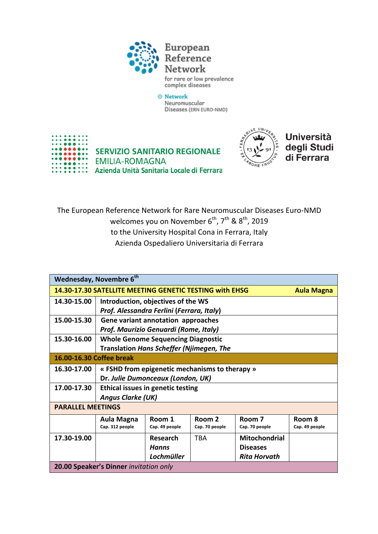

for rare or low prevalence complex diseases

⊕ Network Neuromuscular Diseases (ERN EURO-NMD)





**Università** degli Studi di Ferrara

The European Reference Network for Rare Neuromuscular Diseases Euro-NMD welcomes you on November 6<sup>th</sup>, 7<sup>th</sup> & 8<sup>th</sup>, 2019 to the University Hospital Cona in Ferrara, Italy Azienda Ospedaliero Universitaria di Ferrara

| Wednesday, Novembre 6 <sup>th</sup>                                          |                                                 |                 |                |                      |                |  |
|------------------------------------------------------------------------------|-------------------------------------------------|-----------------|----------------|----------------------|----------------|--|
| 14.30-17.30 SATELLITE MEETING GENETIC TESTING with EHSG<br><b>Aula Magna</b> |                                                 |                 |                |                      |                |  |
| 14.30-15.00                                                                  | Introduction, objectives of the WS              |                 |                |                      |                |  |
|                                                                              | Prof. Alessandra Ferlini (Ferrara, Italy)       |                 |                |                      |                |  |
| 15.00-15.30                                                                  | Gene variant annotation approaches              |                 |                |                      |                |  |
|                                                                              | Prof. Maurizio Genuardi (Rome, Italy)           |                 |                |                      |                |  |
| 15.30-16.00                                                                  | <b>Whole Genome Sequencing Diagnostic</b>       |                 |                |                      |                |  |
|                                                                              | <b>Translation Hans Scheffer (Njimegen, The</b> |                 |                |                      |                |  |
| 16.00-16.30 Coffee break                                                     |                                                 |                 |                |                      |                |  |
| 16.30-17.00                                                                  | « FSHD from epigenetic mechanisms to therapy »  |                 |                |                      |                |  |
|                                                                              | Dr. Julie Dumonceaux (London, UK)               |                 |                |                      |                |  |
| 17.00-17.30                                                                  | <b>Ethical issues in genetic testing</b>        |                 |                |                      |                |  |
|                                                                              | <b>Angus Clarke (UK)</b>                        |                 |                |                      |                |  |
| <b>PARALLEL MEETINGS</b>                                                     |                                                 |                 |                |                      |                |  |
|                                                                              | Aula Magna                                      | Room 1          | Room 2         | Room 7               | Room 8         |  |
|                                                                              | Cap. 312 people                                 | Cap. 49 people  | Cap. 70 people | Cap. 70 people       | Cap. 49 people |  |
| 17.30-19.00                                                                  |                                                 | <b>Research</b> | <b>TBA</b>     | <b>Mitochondrial</b> |                |  |
|                                                                              |                                                 | Hanns           |                | <b>Diseases</b>      |                |  |
|                                                                              |                                                 | Lochmüller      |                | <b>Rita Horvath</b>  |                |  |
| 20.00 Speaker's Dinner invitation only                                       |                                                 |                 |                |                      |                |  |